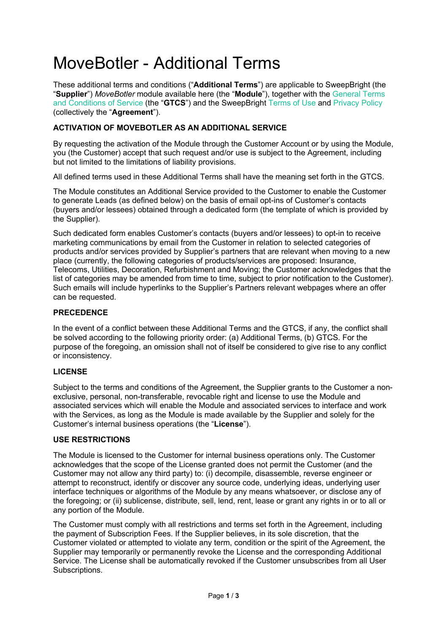# MoveBotler - Additional Terms

These additional terms and conditions ("**Additional Terms**") are applicable to SweepBright (the "**Supplier**") *MoveBotler* module available here (the "**Module**"), together with the General Terms and Conditions of Service (the "**GTCS**") and the SweepBright Terms of Use and Privacy Policy (collectively the "**Agreement**").

## **ACTIVATION OF MOVEBOTLER AS AN ADDITIONAL SERVICE**

By requesting the activation of the Module through the Customer Account or by using the Module, you (the Customer) accept that such request and/or use is subject to the Agreement, including but not limited to the limitations of liability provisions.

All defined terms used in these Additional Terms shall have the meaning set forth in the GTCS.

The Module constitutes an Additional Service provided to the Customer to enable the Customer to generate Leads (as defined below) on the basis of email opt-ins of Customer's contacts (buyers and/or lessees) obtained through a dedicated form (the template of which is provided by the Supplier).

Such dedicated form enables Customer's contacts (buyers and/or lessees) to opt-in to receive marketing communications by email from the Customer in relation to selected categories of products and/or services provided by Supplier's partners that are relevant when moving to a new place (currently, the following categories of products/services are proposed: Insurance, Telecoms, Utilities, Decoration, Refurbishment and Moving; the Customer acknowledges that the list of categories may be amended from time to time, subject to prior notification to the Customer). Such emails will include hyperlinks to the Supplier's Partners relevant webpages where an offer can be requested.

#### **PRECEDENCE**

In the event of a conflict between these Additional Terms and the GTCS, if any, the conflict shall be solved according to the following priority order: (a) Additional Terms, (b) GTCS. For the purpose of the foregoing, an omission shall not of itself be considered to give rise to any conflict or inconsistency.

### **LICENSE**

Subject to the terms and conditions of the Agreement, the Supplier grants to the Customer a nonexclusive, personal, non-transferable, revocable right and license to use the Module and associated services which will enable the Module and associated services to interface and work with the Services, as long as the Module is made available by the Supplier and solely for the Customer's internal business operations (the "**License**").

### **USE RESTRICTIONS**

The Module is licensed to the Customer for internal business operations only. The Customer acknowledges that the scope of the License granted does not permit the Customer (and the Customer may not allow any third party) to: (i) decompile, disassemble, reverse engineer or attempt to reconstruct, identify or discover any source code, underlying ideas, underlying user interface techniques or algorithms of the Module by any means whatsoever, or disclose any of the foregoing; or (ii) sublicense, distribute, sell, lend, rent, lease or grant any rights in or to all or any portion of the Module.

The Customer must comply with all restrictions and terms set forth in the Agreement, including the payment of Subscription Fees. If the Supplier believes, in its sole discretion, that the Customer violated or attempted to violate any term, condition or the spirit of the Agreement, the Supplier may temporarily or permanently revoke the License and the corresponding Additional Service. The License shall be automatically revoked if the Customer unsubscribes from all User Subscriptions.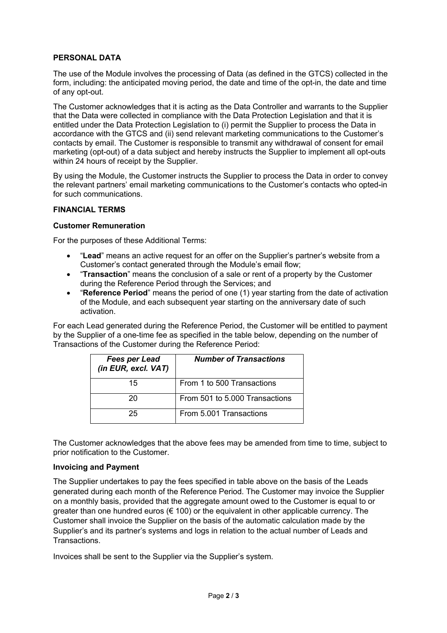### **PERSONAL DATA**

The use of the Module involves the processing of Data (as defined in the GTCS) collected in the form, including: the anticipated moving period, the date and time of the opt-in, the date and time of any opt-out.

The Customer acknowledges that it is acting as the Data Controller and warrants to the Supplier that the Data were collected in compliance with the Data Protection Legislation and that it is entitled under the Data Protection Legislation to (i) permit the Supplier to process the Data in accordance with the GTCS and (ii) send relevant marketing communications to the Customer's contacts by email. The Customer is responsible to transmit any withdrawal of consent for email marketing (opt-out) of a data subject and hereby instructs the Supplier to implement all opt-outs within 24 hours of receipt by the Supplier.

By using the Module, the Customer instructs the Supplier to process the Data in order to convey the relevant partners' email marketing communications to the Customer's contacts who opted-in for such communications.

#### **FINANCIAL TERMS**

#### **Customer Remuneration**

For the purposes of these Additional Terms:

- "**Lead**" means an active request for an offer on the Supplier's partner's website from a Customer's contact generated through the Module's email flow;
- "**Transaction**" means the conclusion of a sale or rent of a property by the Customer during the Reference Period through the Services; and
- "**Reference Period**" means the period of one (1) year starting from the date of activation of the Module, and each subsequent year starting on the anniversary date of such activation.

For each Lead generated during the Reference Period, the Customer will be entitled to payment by the Supplier of a one-time fee as specified in the table below, depending on the number of Transactions of the Customer during the Reference Period:

| <b>Fees per Lead</b><br>(in EUR, excl. VAT) | <b>Number of Transactions</b>  |
|---------------------------------------------|--------------------------------|
| 15                                          | From 1 to 500 Transactions     |
| 20                                          | From 501 to 5.000 Transactions |
| 25                                          | From 5.001 Transactions        |

The Customer acknowledges that the above fees may be amended from time to time, subject to prior notification to the Customer.

#### **Invoicing and Payment**

The Supplier undertakes to pay the fees specified in table above on the basis of the Leads generated during each month of the Reference Period. The Customer may invoice the Supplier on a monthly basis, provided that the aggregate amount owed to the Customer is equal to or greater than one hundred euros (€ 100) or the equivalent in other applicable currency. The Customer shall invoice the Supplier on the basis of the automatic calculation made by the Supplier's and its partner's systems and logs in relation to the actual number of Leads and **Transactions** 

Invoices shall be sent to the Supplier via the Supplier's system.